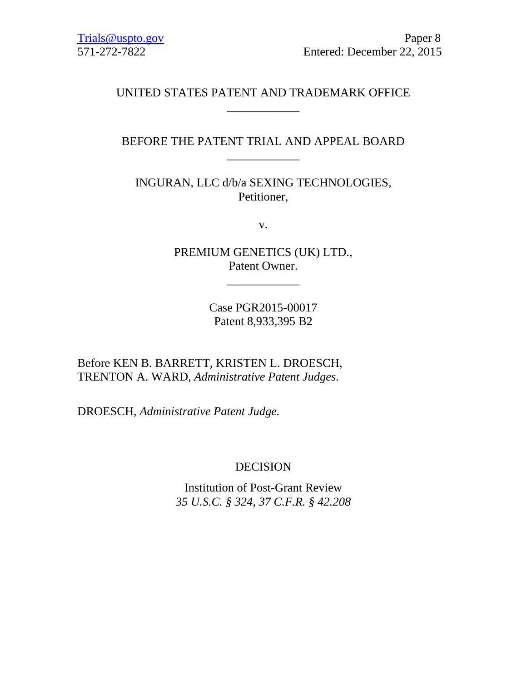# UNITED STATES PATENT AND TRADEMARK OFFICE \_\_\_\_\_\_\_\_\_\_\_\_

# BEFORE THE PATENT TRIAL AND APPEAL BOARD \_\_\_\_\_\_\_\_\_\_\_\_

INGURAN, LLC d/b/a SEXING TECHNOLOGIES, Petitioner,

v.

PREMIUM GENETICS (UK) LTD., Patent Owner.

\_\_\_\_\_\_\_\_\_\_\_\_

Case PGR2015-00017 Patent 8,933,395 B2

Before KEN B. BARRETT, KRISTEN L. DROESCH, TRENTON A. WARD, *Administrative Patent Judges.*

DROESCH, *Administrative Patent Judge.*

# DECISION

Institution of Post-Grant Review *35 U.S.C. § 324, 37 C.F.R. § 42.208*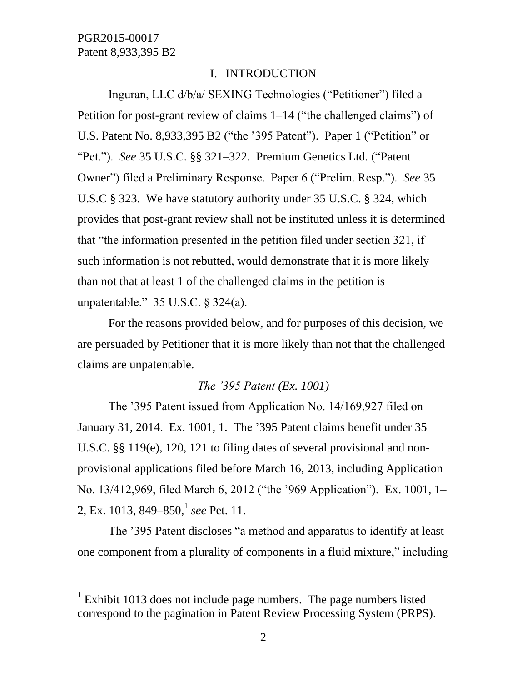$\overline{a}$ 

# I. INTRODUCTION

Inguran, LLC d/b/a/ SEXING Technologies ("Petitioner") filed a Petition for post-grant review of claims 1–14 ("the challenged claims") of U.S. Patent No. 8,933,395 B2 ("the '395 Patent"). Paper 1 ("Petition" or "Pet."). *See* 35 U.S.C. §§ 321–322. Premium Genetics Ltd. ("Patent Owner") filed a Preliminary Response. Paper 6 ("Prelim. Resp."). *See* 35 U.S.C § 323. We have statutory authority under 35 U.S.C. § 324, which provides that post-grant review shall not be instituted unless it is determined that "the information presented in the petition filed under section 321, if such information is not rebutted, would demonstrate that it is more likely than not that at least 1 of the challenged claims in the petition is unpatentable." 35 U.S.C. § 324(a).

For the reasons provided below, and for purposes of this decision, we are persuaded by Petitioner that it is more likely than not that the challenged claims are unpatentable.

### *The '395 Patent (Ex. 1001)*

The '395 Patent issued from Application No. 14/169,927 filed on January 31, 2014. Ex. 1001, 1. The '395 Patent claims benefit under 35 U.S.C. §§ 119(e), 120, 121 to filing dates of several provisional and nonprovisional applications filed before March 16, 2013, including Application No. 13/412,969, filed March 6, 2012 ("the '969 Application"). Ex. 1001, 1– 2, Ex. 1013, 849–850, 1 *see* Pet. 11.

The '395 Patent discloses "a method and apparatus to identify at least one component from a plurality of components in a fluid mixture," including

 $1$  Exhibit 1013 does not include page numbers. The page numbers listed correspond to the pagination in Patent Review Processing System (PRPS).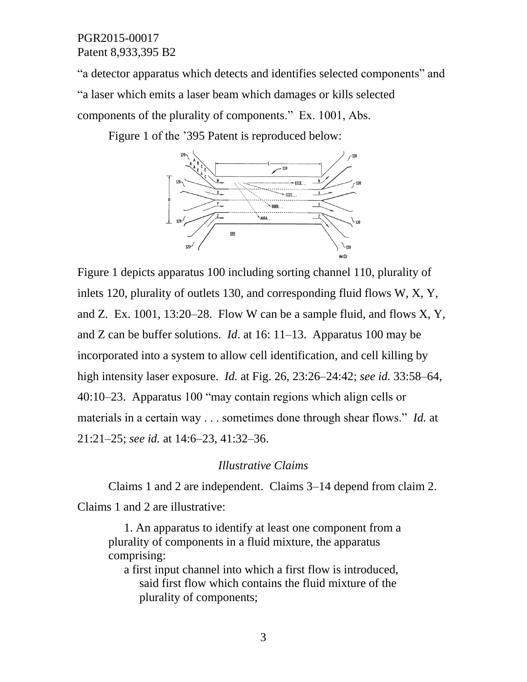"a detector apparatus which detects and identifies selected components" and "a laser which emits a laser beam which damages or kills selected components of the plurality of components." Ex. 1001, Abs.

Figure 1 of the '395 Patent is reproduced below:



Figure 1 depicts apparatus 100 including sorting channel 110, plurality of inlets 120, plurality of outlets 130, and corresponding fluid flows W, X, Y, and Z. Ex. 1001, 13:20–28. Flow W can be a sample fluid, and flows  $X, Y$ , and Z can be buffer solutions. *Id*. at 16: 11–13. Apparatus 100 may be incorporated into a system to allow cell identification, and cell killing by high intensity laser exposure. *Id.* at Fig. 26, 23:26–24:42; *see id.* 33:58–64, 40:10–23. Apparatus 100 "may contain regions which align cells or materials in a certain way . . . sometimes done through shear flows." *Id.* at 21:21–25; *see id.* at 14:6–23, 41:32–36.

### *Illustrative Claims*

Claims 1 and 2 are independent. Claims 3–14 depend from claim 2. Claims 1 and 2 are illustrative:

1. An apparatus to identify at least one component from a plurality of components in a fluid mixture, the apparatus comprising:

a first input channel into which a first flow is introduced, said first flow which contains the fluid mixture of the plurality of components;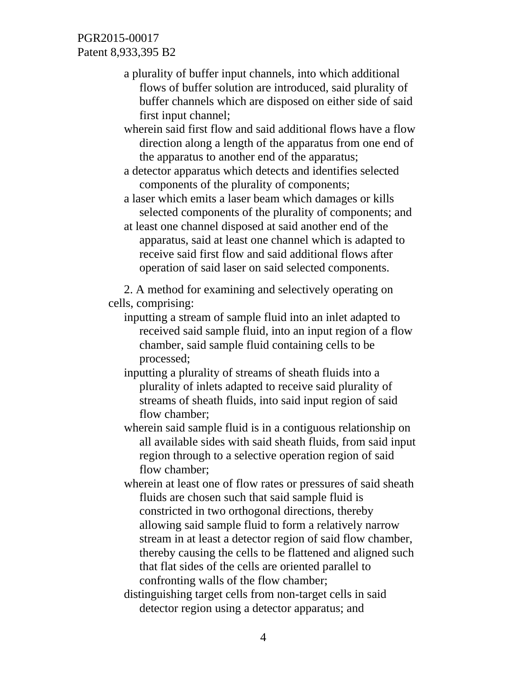a plurality of buffer input channels, into which additional flows of buffer solution are introduced, said plurality of buffer channels which are disposed on either side of said first input channel;

wherein said first flow and said additional flows have a flow direction along a length of the apparatus from one end of the apparatus to another end of the apparatus;

a detector apparatus which detects and identifies selected components of the plurality of components;

a laser which emits a laser beam which damages or kills selected components of the plurality of components; and

at least one channel disposed at said another end of the apparatus, said at least one channel which is adapted to receive said first flow and said additional flows after operation of said laser on said selected components.

2. A method for examining and selectively operating on cells, comprising:

inputting a stream of sample fluid into an inlet adapted to received said sample fluid, into an input region of a flow chamber, said sample fluid containing cells to be processed;

inputting a plurality of streams of sheath fluids into a plurality of inlets adapted to receive said plurality of streams of sheath fluids, into said input region of said flow chamber;

wherein said sample fluid is in a contiguous relationship on all available sides with said sheath fluids, from said input region through to a selective operation region of said flow chamber;

wherein at least one of flow rates or pressures of said sheath fluids are chosen such that said sample fluid is constricted in two orthogonal directions, thereby allowing said sample fluid to form a relatively narrow stream in at least a detector region of said flow chamber, thereby causing the cells to be flattened and aligned such that flat sides of the cells are oriented parallel to confronting walls of the flow chamber;

distinguishing target cells from non-target cells in said detector region using a detector apparatus; and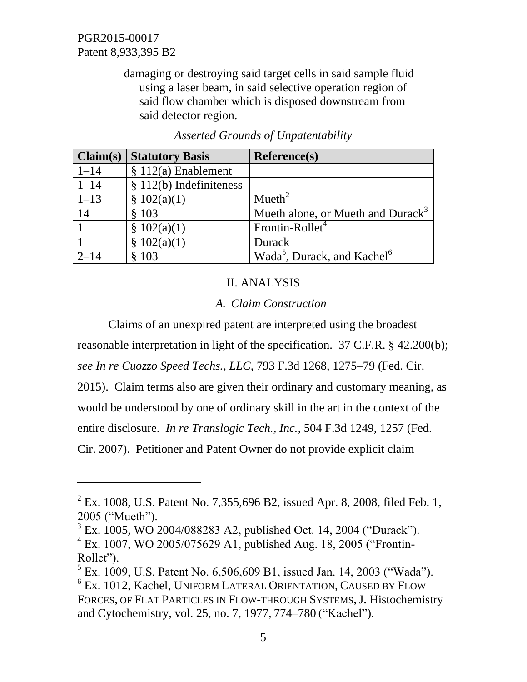l

damaging or destroying said target cells in said sample fluid using a laser beam, in said selective operation region of said flow chamber which is disposed downstream from said detector region.

| Claim(s) | <b>Statutory Basis</b>    | <b>Reference(s)</b>                                 |
|----------|---------------------------|-----------------------------------------------------|
| $1 - 14$ | $$112(a)$ Enablement      |                                                     |
| $1 - 14$ | $§ 112(b)$ Indefiniteness |                                                     |
| $1 - 13$ | \$102(a)(1)               | Mueth <sup>2</sup>                                  |
| 14       | \$103                     | Mueth alone, or Mueth and Durack <sup>3</sup>       |
|          | \$102(a)(1)               | Frontin-Rollet <sup>4</sup>                         |
|          | \$102(a)(1)               | Durack                                              |
| $2 - 14$ | \$103                     | Wada <sup>5</sup> , Durack, and Kachel <sup>6</sup> |

*Asserted Grounds of Unpatentability* 

# II. ANALYSIS

# *A. Claim Construction*

Claims of an unexpired patent are interpreted using the broadest reasonable interpretation in light of the specification. 37 C.F.R. § 42.200(b);

*see In re Cuozzo Speed Techs., LLC*, 793 F.3d 1268, 1275–79 (Fed. Cir.

2015). Claim terms also are given their ordinary and customary meaning, as

would be understood by one of ordinary skill in the art in the context of the

entire disclosure. *In re Translogic Tech., Inc.,* 504 F.3d 1249, 1257 (Fed.

Cir. 2007). Petitioner and Patent Owner do not provide explicit claim

 $^{2}$  Ex. 1008, U.S. Patent No. 7,355,696 B2, issued Apr. 8, 2008, filed Feb. 1, 2005 ("Mueth").

<sup>3</sup> Ex. 1005, WO 2004/088283 A2, published Oct. 14, 2004 ("Durack"). 4 Ex. 1007, WO 2005/075629 A1, published Aug. 18, 2005 ("Frontin-Rollet").

 $<sup>5</sup>$  Ex. 1009, U.S. Patent No. 6,506,609 B1, issued Jan. 14, 2003 ("Wada").</sup>

<sup>6</sup> Ex. 1012, Kachel, UNIFORM LATERAL ORIENTATION, CAUSED BY FLOW FORCES, OF FLAT PARTICLES IN FLOW-THROUGH SYSTEMS, J. Histochemistry and Cytochemistry, vol. 25, no. 7, 1977, 774–780 ("Kachel").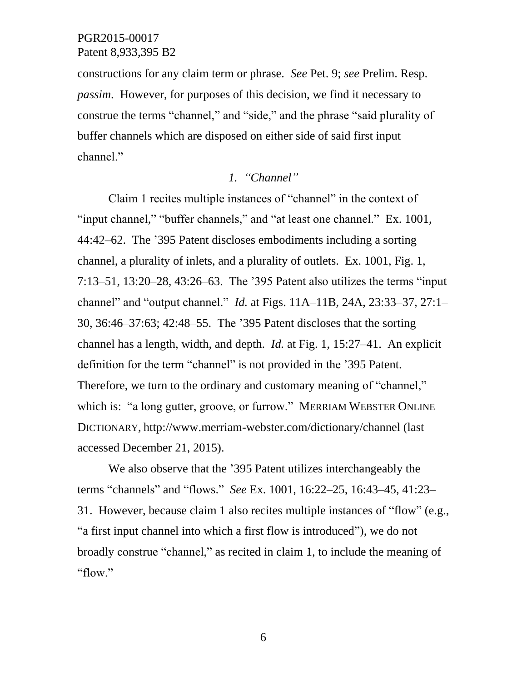constructions for any claim term or phrase. *See* Pet. 9; *see* Prelim. Resp. *passim*. However, for purposes of this decision, we find it necessary to construe the terms "channel," and "side," and the phrase "said plurality of buffer channels which are disposed on either side of said first input channel."

## *1. "Channel"*

Claim 1 recites multiple instances of "channel" in the context of "input channel," "buffer channels," and "at least one channel." Ex. 1001, 44:42–62. The '395 Patent discloses embodiments including a sorting channel, a plurality of inlets, and a plurality of outlets. Ex. 1001, Fig. 1, 7:13–51, 13:20–28, 43:26–63. The '395 Patent also utilizes the terms "input channel" and "output channel." *Id.* at Figs. 11A–11B, 24A, 23:33–37, 27:1– 30, 36:46–37:63; 42:48–55. The '395 Patent discloses that the sorting channel has a length, width, and depth. *Id.* at Fig. 1, 15:27–41. An explicit definition for the term "channel" is not provided in the '395 Patent. Therefore, we turn to the ordinary and customary meaning of "channel," which is: "a long gutter, groove, or furrow." MERRIAM WEBSTER ONLINE DICTIONARY, http://www.merriam-webster.com/dictionary/channel (last accessed December 21, 2015).

We also observe that the '395 Patent utilizes interchangeably the terms "channels" and "flows." *See* Ex. 1001, 16:22–25, 16:43–45, 41:23– 31. However, because claim 1 also recites multiple instances of "flow" (e.g., "a first input channel into which a first flow is introduced"), we do not broadly construe "channel," as recited in claim 1, to include the meaning of "flow."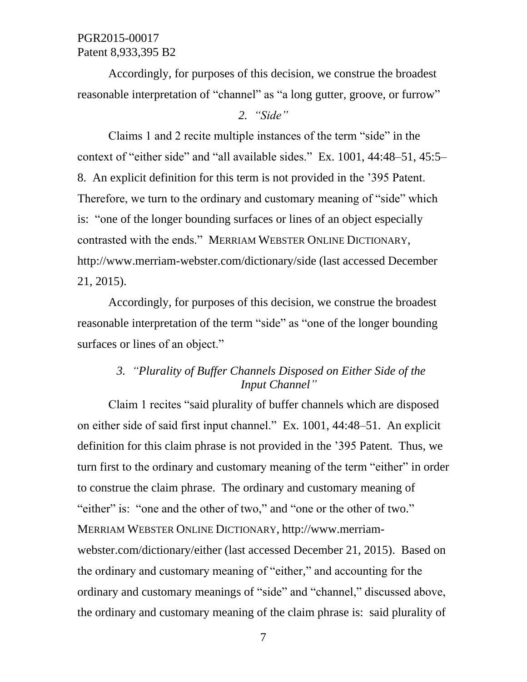Accordingly, for purposes of this decision, we construe the broadest reasonable interpretation of "channel" as "a long gutter, groove, or furrow"

### *2. "Side"*

Claims 1 and 2 recite multiple instances of the term "side" in the context of "either side" and "all available sides." Ex. 1001, 44:48–51, 45:5– 8. An explicit definition for this term is not provided in the '395 Patent. Therefore, we turn to the ordinary and customary meaning of "side" which is: "one of the longer bounding surfaces or lines of an object especially contrasted with the ends." MERRIAM WEBSTER ONLINE DICTIONARY, http://www.merriam-webster.com/dictionary/side (last accessed December 21, 2015).

Accordingly, for purposes of this decision, we construe the broadest reasonable interpretation of the term "side" as "one of the longer bounding surfaces or lines of an object."

# *3. "Plurality of Buffer Channels Disposed on Either Side of the Input Channel"*

Claim 1 recites "said plurality of buffer channels which are disposed on either side of said first input channel." Ex. 1001, 44:48–51. An explicit definition for this claim phrase is not provided in the '395 Patent. Thus, we turn first to the ordinary and customary meaning of the term "either" in order to construe the claim phrase. The ordinary and customary meaning of "either" is: "one and the other of two," and "one or the other of two." MERRIAM WEBSTER ONLINE DICTIONARY, http://www.merriamwebster.com/dictionary/either (last accessed December 21, 2015). Based on the ordinary and customary meaning of "either," and accounting for the ordinary and customary meanings of "side" and "channel," discussed above, the ordinary and customary meaning of the claim phrase is: said plurality of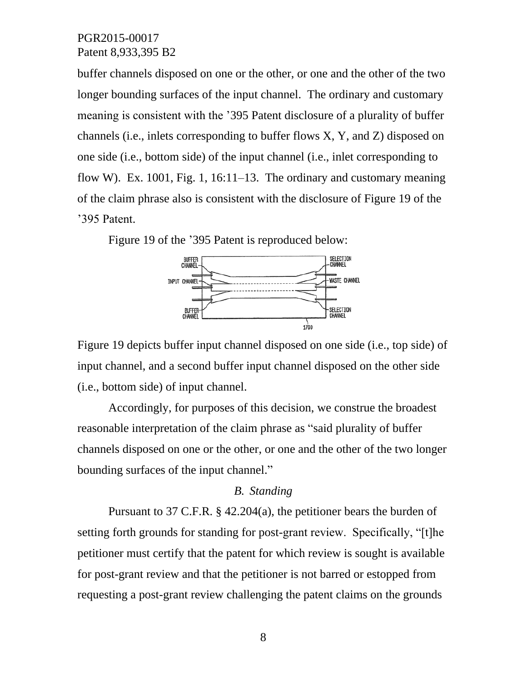buffer channels disposed on one or the other, or one and the other of the two longer bounding surfaces of the input channel. The ordinary and customary meaning is consistent with the '395 Patent disclosure of a plurality of buffer channels (i.e., inlets corresponding to buffer flows X, Y, and Z) disposed on one side (i.e., bottom side) of the input channel (i.e., inlet corresponding to flow W). Ex. 1001, Fig. 1, 16:11–13. The ordinary and customary meaning of the claim phrase also is consistent with the disclosure of Figure 19 of the '395 Patent.

Figure 19 of the '395 Patent is reproduced below:



Figure 19 depicts buffer input channel disposed on one side (i.e., top side) of input channel, and a second buffer input channel disposed on the other side (i.e., bottom side) of input channel.

Accordingly, for purposes of this decision, we construe the broadest reasonable interpretation of the claim phrase as "said plurality of buffer channels disposed on one or the other, or one and the other of the two longer bounding surfaces of the input channel."

### *B. Standing*

Pursuant to 37 C.F.R. § 42.204(a), the petitioner bears the burden of setting forth grounds for standing for post-grant review. Specifically, "[t]he petitioner must certify that the patent for which review is sought is available for post-grant review and that the petitioner is not barred or estopped from requesting a post-grant review challenging the patent claims on the grounds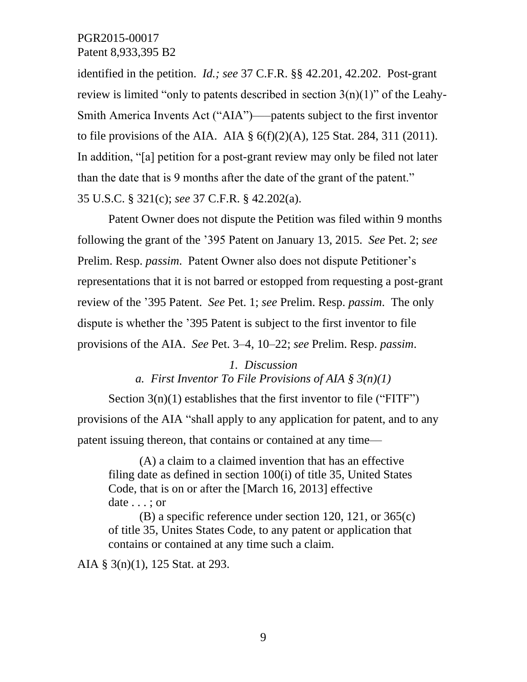identified in the petition. *Id.; see* 37 C.F.R. §§ 42.201, 42.202. Post-grant review is limited "only to patents described in section  $3(n)(1)$ " of the Leahy-Smith America Invents Act ("AIA")–––patents subject to the first inventor to file provisions of the AIA. AIA  $\S 6(f)(2)(A)$ , 125 Stat. 284, 311 (2011). In addition, "[a] petition for a post-grant review may only be filed not later than the date that is 9 months after the date of the grant of the patent." 35 U.S.C. § 321(c); *see* 37 C.F.R. § 42.202(a).

Patent Owner does not dispute the Petition was filed within 9 months following the grant of the '395 Patent on January 13, 2015. *See* Pet. 2; *see*  Prelim. Resp. *passim*. Patent Owner also does not dispute Petitioner's representations that it is not barred or estopped from requesting a post-grant review of the '395 Patent. *See* Pet. 1; *see* Prelim. Resp. *passim*. The only dispute is whether the '395 Patent is subject to the first inventor to file provisions of the AIA. *See* Pet. 3–4, 10–22; *see* Prelim. Resp. *passim*.

> *1. Discussion a. First Inventor To File Provisions of AIA § 3(n)(1)*

Section  $3(n)(1)$  establishes that the first inventor to file ("FITF") provisions of the AIA "shall apply to any application for patent, and to any patent issuing thereon, that contains or contained at any time––

(A) a claim to a claimed invention that has an effective filing date as defined in section 100(i) of title 35, United States Code, that is on or after the [March 16, 2013] effective date . . . ; or

(B) a specific reference under section 120, 121, or 365(c) of title 35, Unites States Code, to any patent or application that contains or contained at any time such a claim.

AIA § 3(n)(1), 125 Stat. at 293.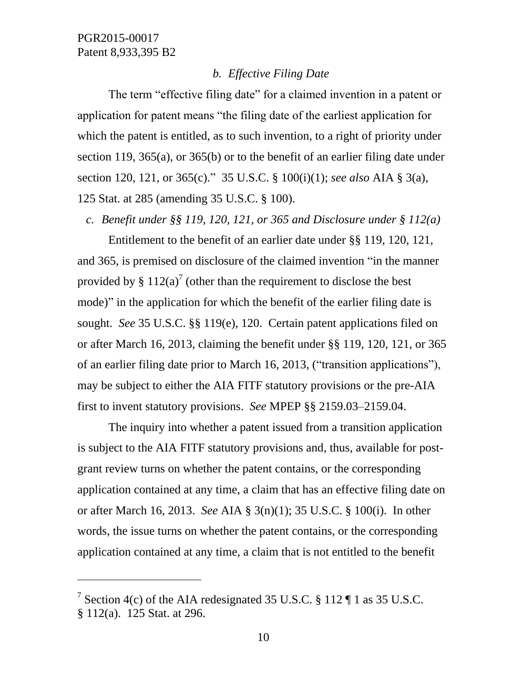$\overline{a}$ 

### *b. Effective Filing Date*

The term "effective filing date" for a claimed invention in a patent or application for patent means "the filing date of the earliest application for which the patent is entitled, as to such invention, to a right of priority under section 119, 365(a), or 365(b) or to the benefit of an earlier filing date under section 120, 121, or 365(c)." 35 U.S.C. § 100(i)(1); *see also* AIA § 3(a), 125 Stat. at 285 (amending 35 U.S.C. § 100).

*c. Benefit under §§ 119, 120, 121, or 365 and Disclosure under § 112(a)*

Entitlement to the benefit of an earlier date under §§ 119, 120, 121, and 365, is premised on disclosure of the claimed invention "in the manner provided by §  $112(a)^7$  (other than the requirement to disclose the best mode)" in the application for which the benefit of the earlier filing date is sought. *See* 35 U.S.C. §§ 119(e), 120. Certain patent applications filed on or after March 16, 2013, claiming the benefit under §§ 119, 120, 121, or 365 of an earlier filing date prior to March 16, 2013, ("transition applications"), may be subject to either the AIA FITF statutory provisions or the pre-AIA first to invent statutory provisions. *See* MPEP §§ 2159.03–2159.04.

The inquiry into whether a patent issued from a transition application is subject to the AIA FITF statutory provisions and, thus, available for postgrant review turns on whether the patent contains, or the corresponding application contained at any time, a claim that has an effective filing date on or after March 16, 2013. *See* AIA § 3(n)(1); 35 U.S.C. § 100(i). In other words, the issue turns on whether the patent contains, or the corresponding application contained at any time, a claim that is not entitled to the benefit

<sup>&</sup>lt;sup>7</sup> Section 4(c) of the AIA redesignated 35 U.S.C. § 112  $\P$  1 as 35 U.S.C. § 112(a). 125 Stat. at 296.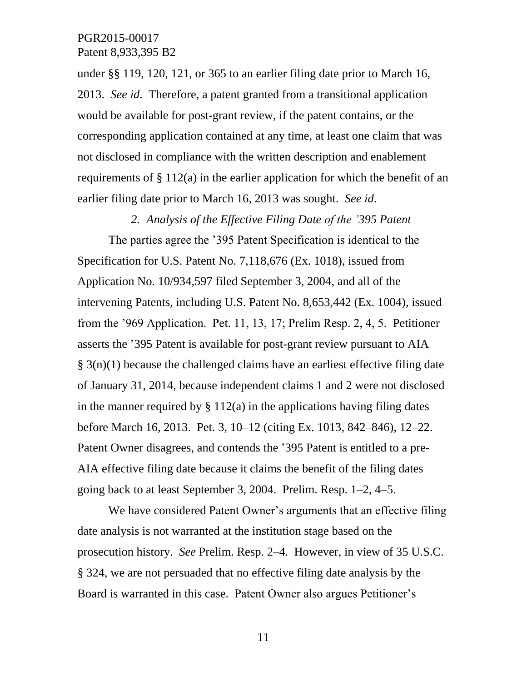under §§ 119, 120, 121, or 365 to an earlier filing date prior to March 16, 2013. *See id*. Therefore, a patent granted from a transitional application would be available for post-grant review, if the patent contains, or the corresponding application contained at any time, at least one claim that was not disclosed in compliance with the written description and enablement requirements of § 112(a) in the earlier application for which the benefit of an earlier filing date prior to March 16, 2013 was sought. *See id*.

*2. Analysis of the Effective Filing Date of the '395 Patent*

The parties agree the '395 Patent Specification is identical to the Specification for U.S. Patent No. 7,118,676 (Ex. 1018), issued from Application No. 10/934,597 filed September 3, 2004, and all of the intervening Patents, including U.S. Patent No. 8,653,442 (Ex. 1004), issued from the '969 Application. Pet. 11, 13, 17; Prelim Resp. 2, 4, 5. Petitioner asserts the '395 Patent is available for post-grant review pursuant to AIA  $\S$  3(n)(1) because the challenged claims have an earliest effective filing date of January 31, 2014, because independent claims 1 and 2 were not disclosed in the manner required by  $\S 112(a)$  in the applications having filing dates before March 16, 2013. Pet. 3, 10–12 (citing Ex. 1013, 842–846), 12–22. Patent Owner disagrees, and contends the '395 Patent is entitled to a pre-AIA effective filing date because it claims the benefit of the filing dates going back to at least September 3, 2004. Prelim. Resp. 1–2, 4–5.

We have considered Patent Owner's arguments that an effective filing date analysis is not warranted at the institution stage based on the prosecution history. *See* Prelim. Resp. 2–4. However, in view of 35 U.S.C. § 324, we are not persuaded that no effective filing date analysis by the Board is warranted in this case. Patent Owner also argues Petitioner's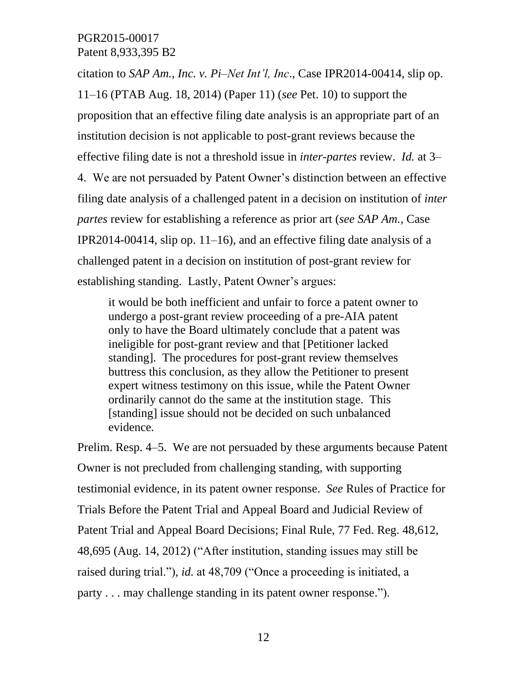citation to *SAP Am., Inc. v. Pi–Net Int'l, Inc*., Case IPR2014-00414, slip op. 11–16 (PTAB Aug. 18, 2014) (Paper 11) (*see* Pet. 10) to support the proposition that an effective filing date analysis is an appropriate part of an institution decision is not applicable to post-grant reviews because the effective filing date is not a threshold issue in *inter-partes* review. *Id.* at 3– 4. We are not persuaded by Patent Owner's distinction between an effective filing date analysis of a challenged patent in a decision on institution of *inter partes* review for establishing a reference as prior art (*see SAP Am.,* Case IPR2014-00414, slip op. 11–16), and an effective filing date analysis of a challenged patent in a decision on institution of post-grant review for establishing standing. Lastly, Patent Owner's argues:

it would be both inefficient and unfair to force a patent owner to undergo a post-grant review proceeding of a pre-AIA patent only to have the Board ultimately conclude that a patent was ineligible for post-grant review and that [Petitioner lacked standing]. The procedures for post-grant review themselves buttress this conclusion, as they allow the Petitioner to present expert witness testimony on this issue, while the Patent Owner ordinarily cannot do the same at the institution stage. This [standing] issue should not be decided on such unbalanced evidence.

Prelim. Resp. 4–5. We are not persuaded by these arguments because Patent Owner is not precluded from challenging standing, with supporting testimonial evidence, in its patent owner response. *See* Rules of Practice for Trials Before the Patent Trial and Appeal Board and Judicial Review of Patent Trial and Appeal Board Decisions; Final Rule, 77 Fed. Reg. 48,612, 48,695 (Aug. 14, 2012) ("After institution, standing issues may still be raised during trial."), *id.* at 48,709 ("Once a proceeding is initiated, a party . . . may challenge standing in its patent owner response.").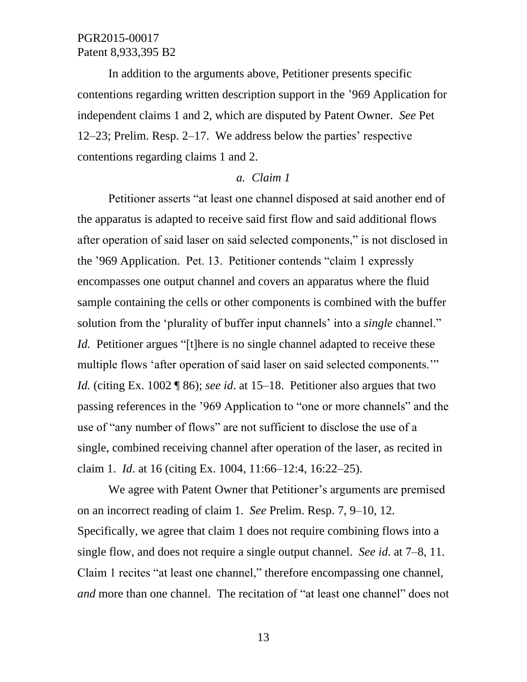In addition to the arguments above, Petitioner presents specific contentions regarding written description support in the '969 Application for independent claims 1 and 2, which are disputed by Patent Owner. *See* Pet 12–23; Prelim. Resp. 2–17. We address below the parties' respective contentions regarding claims 1 and 2.

#### *a. Claim 1*

Petitioner asserts "at least one channel disposed at said another end of the apparatus is adapted to receive said first flow and said additional flows after operation of said laser on said selected components," is not disclosed in the '969 Application. Pet. 13. Petitioner contends "claim 1 expressly encompasses one output channel and covers an apparatus where the fluid sample containing the cells or other components is combined with the buffer solution from the 'plurality of buffer input channels' into a *single* channel." *Id.* Petitioner argues "[t]here is no single channel adapted to receive these multiple flows 'after operation of said laser on said selected components." *Id.* (citing Ex. 1002 ¶ 86); *see id*. at 15–18. Petitioner also argues that two passing references in the '969 Application to "one or more channels" and the use of "any number of flows" are not sufficient to disclose the use of a single, combined receiving channel after operation of the laser, as recited in claim 1. *Id*. at 16 (citing Ex. 1004, 11:66–12:4, 16:22–25).

We agree with Patent Owner that Petitioner's arguments are premised on an incorrect reading of claim 1. *See* Prelim. Resp. 7, 9–10, 12. Specifically, we agree that claim 1 does not require combining flows into a single flow, and does not require a single output channel. *See id*. at 7–8, 11. Claim 1 recites "at least one channel," therefore encompassing one channel, *and* more than one channel. The recitation of "at least one channel" does not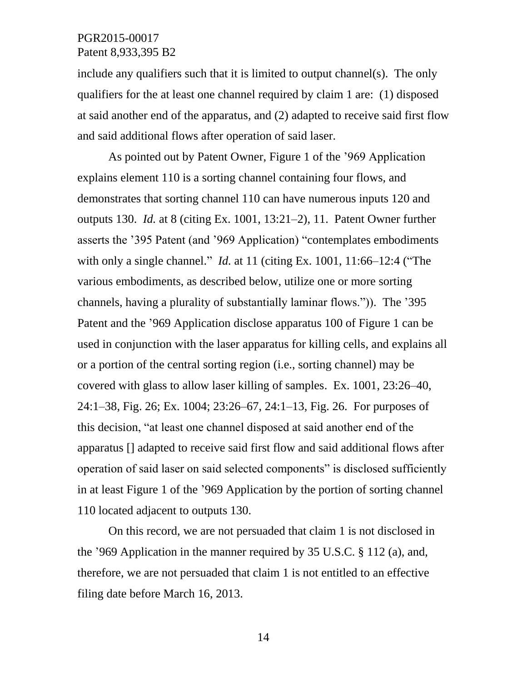include any qualifiers such that it is limited to output channel(s). The only qualifiers for the at least one channel required by claim 1 are: (1) disposed at said another end of the apparatus, and (2) adapted to receive said first flow and said additional flows after operation of said laser.

As pointed out by Patent Owner, Figure 1 of the '969 Application explains element 110 is a sorting channel containing four flows, and demonstrates that sorting channel 110 can have numerous inputs 120 and outputs 130. *Id.* at 8 (citing Ex. 1001, 13:21–2), 11. Patent Owner further asserts the '395 Patent (and '969 Application) "contemplates embodiments with only a single channel." *Id.* at 11 (citing Ex. 1001, 11:66–12:4 ("The various embodiments, as described below, utilize one or more sorting channels, having a plurality of substantially laminar flows.")). The '395 Patent and the '969 Application disclose apparatus 100 of Figure 1 can be used in conjunction with the laser apparatus for killing cells, and explains all or a portion of the central sorting region (i.e., sorting channel) may be covered with glass to allow laser killing of samples. Ex. 1001, 23:26–40, 24:1–38, Fig. 26; Ex. 1004; 23:26–67, 24:1–13, Fig. 26. For purposes of this decision, "at least one channel disposed at said another end of the apparatus [] adapted to receive said first flow and said additional flows after operation of said laser on said selected components" is disclosed sufficiently in at least Figure 1 of the '969 Application by the portion of sorting channel 110 located adjacent to outputs 130.

On this record, we are not persuaded that claim 1 is not disclosed in the '969 Application in the manner required by 35 U.S.C. § 112 (a), and, therefore, we are not persuaded that claim 1 is not entitled to an effective filing date before March 16, 2013.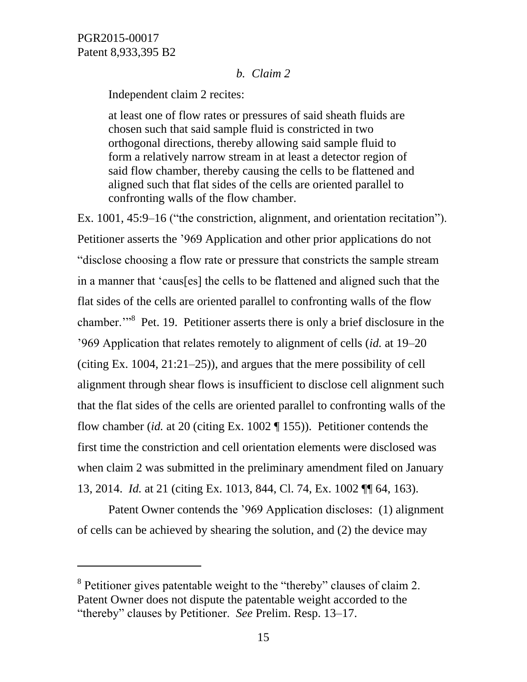$\overline{a}$ 

### *b. Claim 2*

Independent claim 2 recites:

at least one of flow rates or pressures of said sheath fluids are chosen such that said sample fluid is constricted in two orthogonal directions, thereby allowing said sample fluid to form a relatively narrow stream in at least a detector region of said flow chamber, thereby causing the cells to be flattened and aligned such that flat sides of the cells are oriented parallel to confronting walls of the flow chamber.

Ex. 1001, 45:9–16 ("the constriction, alignment, and orientation recitation"). Petitioner asserts the '969 Application and other prior applications do not "disclose choosing a flow rate or pressure that constricts the sample stream in a manner that 'caus[es] the cells to be flattened and aligned such that the flat sides of the cells are oriented parallel to confronting walls of the flow chamber."<sup>8</sup> Pet. 19. Petitioner asserts there is only a brief disclosure in the '969 Application that relates remotely to alignment of cells (*id.* at 19–20 (citing Ex. 1004, 21:21–25)), and argues that the mere possibility of cell alignment through shear flows is insufficient to disclose cell alignment such that the flat sides of the cells are oriented parallel to confronting walls of the flow chamber (*id.* at 20 (citing Ex. 1002 ¶ 155)). Petitioner contends the first time the constriction and cell orientation elements were disclosed was when claim 2 was submitted in the preliminary amendment filed on January 13, 2014. *Id.* at 21 (citing Ex. 1013, 844, Cl. 74, Ex. 1002 ¶¶ 64, 163).

Patent Owner contends the '969 Application discloses: (1) alignment of cells can be achieved by shearing the solution, and (2) the device may

<sup>&</sup>lt;sup>8</sup> Petitioner gives patentable weight to the "thereby" clauses of claim 2. Patent Owner does not dispute the patentable weight accorded to the "thereby" clauses by Petitioner. *See* Prelim. Resp. 13–17.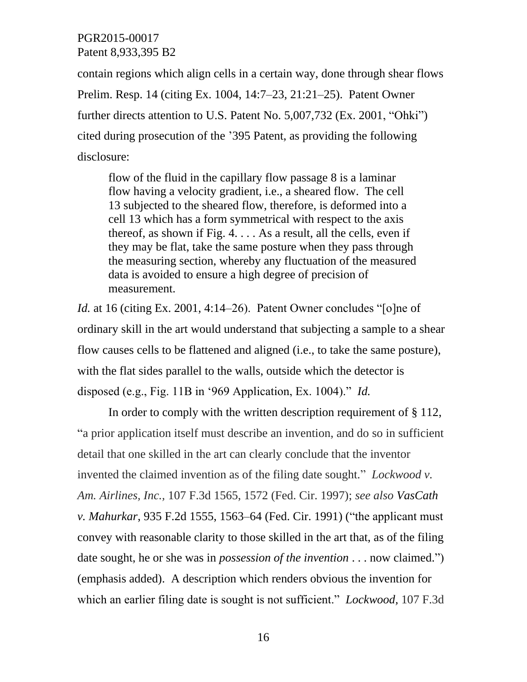contain regions which align cells in a certain way, done through shear flows Prelim. Resp. 14 (citing Ex. 1004, 14:7–23, 21:21–25). Patent Owner further directs attention to U.S. Patent No. 5,007,732 (Ex. 2001, "Ohki") cited during prosecution of the '395 Patent, as providing the following disclosure:

flow of the fluid in the capillary flow passage 8 is a laminar flow having a velocity gradient, i.e., a sheared flow. The cell 13 subjected to the sheared flow, therefore, is deformed into a cell 13 which has a form symmetrical with respect to the axis thereof, as shown if Fig.  $4. \ldots$  As a result, all the cells, even if they may be flat, take the same posture when they pass through the measuring section, whereby any fluctuation of the measured data is avoided to ensure a high degree of precision of measurement.

*Id.* at 16 (citing Ex. 2001, 4:14–26). Patent Owner concludes "[o]ne of ordinary skill in the art would understand that subjecting a sample to a shear flow causes cells to be flattened and aligned (i.e., to take the same posture), with the flat sides parallel to the walls, outside which the detector is disposed (e.g., Fig. 11B in '969 Application, Ex. 1004)." *Id.*

In order to comply with the written description requirement of § 112, "a prior application itself must describe an invention, and do so in sufficient detail that one skilled in the art can clearly conclude that the inventor invented the claimed invention as of the filing date sought." *Lockwood v. Am. Airlines, Inc.,* 107 F.3d 1565, 1572 (Fed. Cir. 1997); *see also VasCath v. Mahurkar*, 935 F.2d 1555, 1563–64 (Fed. Cir. 1991) ("the applicant must convey with reasonable clarity to those skilled in the art that, as of the filing date sought, he or she was in *possession of the invention* . . . now claimed.") (emphasis added). A description which renders obvious the invention for which an earlier filing date is sought is not sufficient." *Lockwood,* 107 F.3d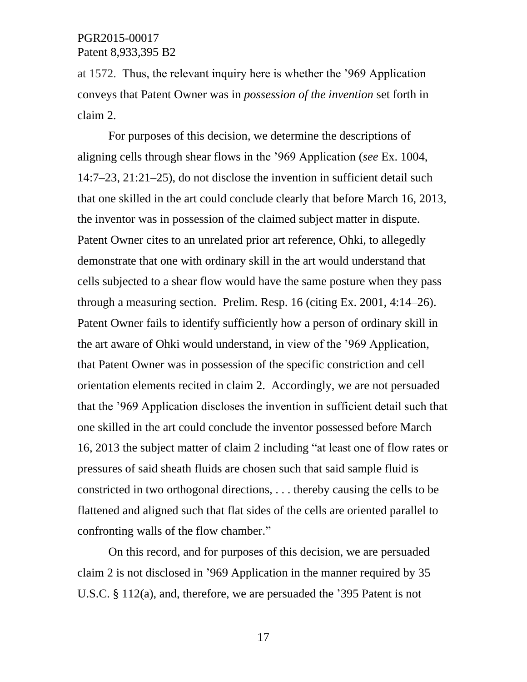at 1572. Thus, the relevant inquiry here is whether the '969 Application conveys that Patent Owner was in *possession of the invention* set forth in claim 2.

For purposes of this decision, we determine the descriptions of aligning cells through shear flows in the '969 Application (*see* Ex. 1004, 14:7–23, 21:21–25), do not disclose the invention in sufficient detail such that one skilled in the art could conclude clearly that before March 16, 2013, the inventor was in possession of the claimed subject matter in dispute. Patent Owner cites to an unrelated prior art reference, Ohki, to allegedly demonstrate that one with ordinary skill in the art would understand that cells subjected to a shear flow would have the same posture when they pass through a measuring section. Prelim. Resp. 16 (citing Ex. 2001, 4:14–26). Patent Owner fails to identify sufficiently how a person of ordinary skill in the art aware of Ohki would understand, in view of the '969 Application, that Patent Owner was in possession of the specific constriction and cell orientation elements recited in claim 2. Accordingly, we are not persuaded that the '969 Application discloses the invention in sufficient detail such that one skilled in the art could conclude the inventor possessed before March 16, 2013 the subject matter of claim 2 including "at least one of flow rates or pressures of said sheath fluids are chosen such that said sample fluid is constricted in two orthogonal directions, . . . thereby causing the cells to be flattened and aligned such that flat sides of the cells are oriented parallel to confronting walls of the flow chamber."

On this record, and for purposes of this decision, we are persuaded claim 2 is not disclosed in '969 Application in the manner required by 35 U.S.C. § 112(a), and, therefore, we are persuaded the '395 Patent is not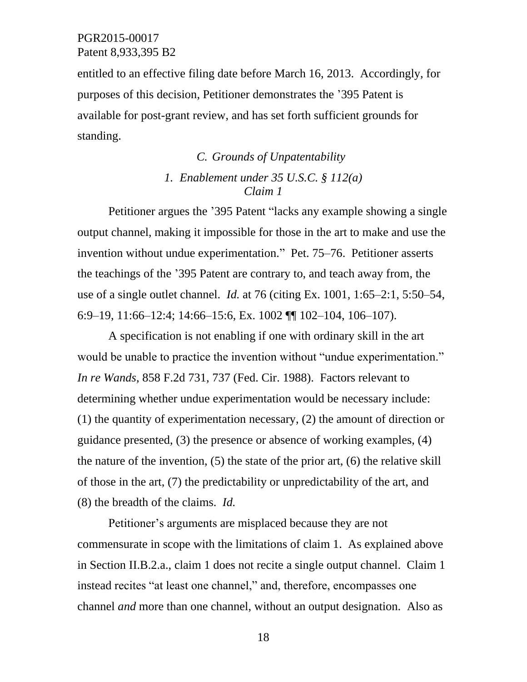entitled to an effective filing date before March 16, 2013. Accordingly, for purposes of this decision, Petitioner demonstrates the '395 Patent is available for post-grant review, and has set forth sufficient grounds for standing.

# *C. Grounds of Unpatentability 1. Enablement under 35 U.S.C. § 112(a) Claim 1*

Petitioner argues the '395 Patent "lacks any example showing a single output channel, making it impossible for those in the art to make and use the invention without undue experimentation." Pet. 75–76. Petitioner asserts the teachings of the '395 Patent are contrary to, and teach away from, the use of a single outlet channel. *Id.* at 76 (citing Ex. 1001, 1:65–2:1, 5:50–54, 6:9–19, 11:66–12:4; 14:66–15:6, Ex. 1002 ¶¶ 102–104, 106–107).

A specification is not enabling if one with ordinary skill in the art would be unable to practice the invention without "undue experimentation." *In re Wands*, 858 F.2d 731, 737 (Fed. Cir. 1988). Factors relevant to determining whether undue experimentation would be necessary include: (1) the quantity of experimentation necessary, (2) the amount of direction or guidance presented, (3) the presence or absence of working examples, (4) the nature of the invention, (5) the state of the prior art, (6) the relative skill of those in the art, (7) the predictability or unpredictability of the art, and (8) the breadth of the claims. *Id.*

Petitioner's arguments are misplaced because they are not commensurate in scope with the limitations of claim 1. As explained above in Section II.B.2.a., claim 1 does not recite a single output channel. Claim 1 instead recites "at least one channel," and, therefore, encompasses one channel *and* more than one channel, without an output designation. Also as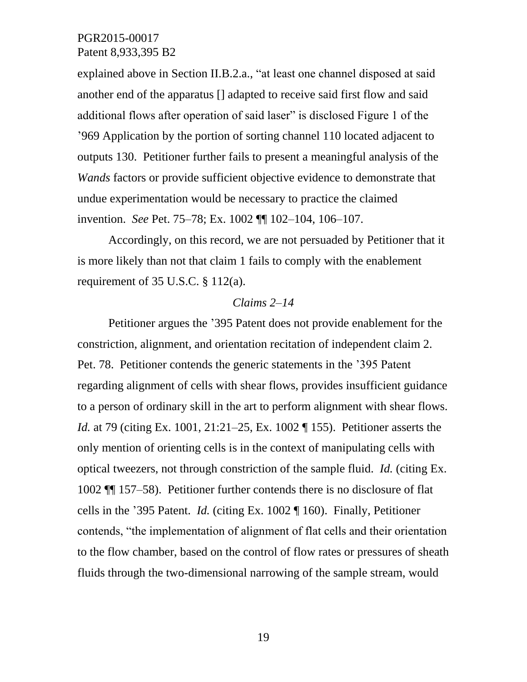explained above in Section II.B.2.a., "at least one channel disposed at said another end of the apparatus [] adapted to receive said first flow and said additional flows after operation of said laser" is disclosed Figure 1 of the '969 Application by the portion of sorting channel 110 located adjacent to outputs 130. Petitioner further fails to present a meaningful analysis of the *Wands* factors or provide sufficient objective evidence to demonstrate that undue experimentation would be necessary to practice the claimed invention. *See* Pet. 75–78; Ex. 1002 ¶¶ 102–104, 106–107.

Accordingly, on this record, we are not persuaded by Petitioner that it is more likely than not that claim 1 fails to comply with the enablement requirement of 35 U.S.C. § 112(a).

#### *Claims 2–14*

Petitioner argues the '395 Patent does not provide enablement for the constriction, alignment, and orientation recitation of independent claim 2. Pet. 78. Petitioner contends the generic statements in the '395 Patent regarding alignment of cells with shear flows, provides insufficient guidance to a person of ordinary skill in the art to perform alignment with shear flows. *Id.* at 79 (citing Ex. 1001, 21:21–25, Ex. 1002 ¶ 155). Petitioner asserts the only mention of orienting cells is in the context of manipulating cells with optical tweezers, not through constriction of the sample fluid. *Id.* (citing Ex. 1002 ¶¶ 157–58). Petitioner further contends there is no disclosure of flat cells in the '395 Patent. *Id.* (citing Ex. 1002 ¶ 160). Finally, Petitioner contends, "the implementation of alignment of flat cells and their orientation to the flow chamber, based on the control of flow rates or pressures of sheath fluids through the two-dimensional narrowing of the sample stream, would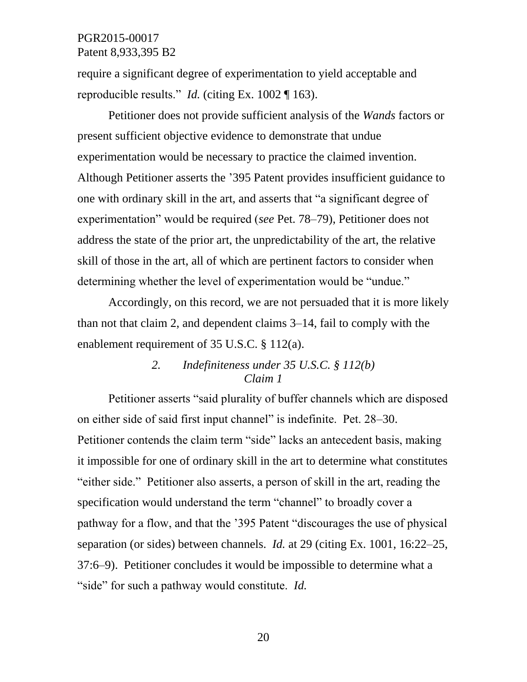require a significant degree of experimentation to yield acceptable and reproducible results." *Id.* (citing Ex. 1002 ¶ 163).

Petitioner does not provide sufficient analysis of the *Wands* factors or present sufficient objective evidence to demonstrate that undue experimentation would be necessary to practice the claimed invention. Although Petitioner asserts the '395 Patent provides insufficient guidance to one with ordinary skill in the art, and asserts that "a significant degree of experimentation" would be required (*see* Pet. 78–79), Petitioner does not address the state of the prior art, the unpredictability of the art, the relative skill of those in the art, all of which are pertinent factors to consider when determining whether the level of experimentation would be "undue."

Accordingly, on this record, we are not persuaded that it is more likely than not that claim 2, and dependent claims 3–14, fail to comply with the enablement requirement of 35 U.S.C. § 112(a).

# *2. Indefiniteness under 35 U.S.C. § 112(b) Claim 1*

Petitioner asserts "said plurality of buffer channels which are disposed on either side of said first input channel" is indefinite. Pet. 28–30. Petitioner contends the claim term "side" lacks an antecedent basis, making it impossible for one of ordinary skill in the art to determine what constitutes "either side." Petitioner also asserts, a person of skill in the art, reading the specification would understand the term "channel" to broadly cover a pathway for a flow, and that the '395 Patent "discourages the use of physical separation (or sides) between channels. *Id.* at 29 (citing Ex. 1001, 16:22–25, 37:6–9). Petitioner concludes it would be impossible to determine what a "side" for such a pathway would constitute. *Id.*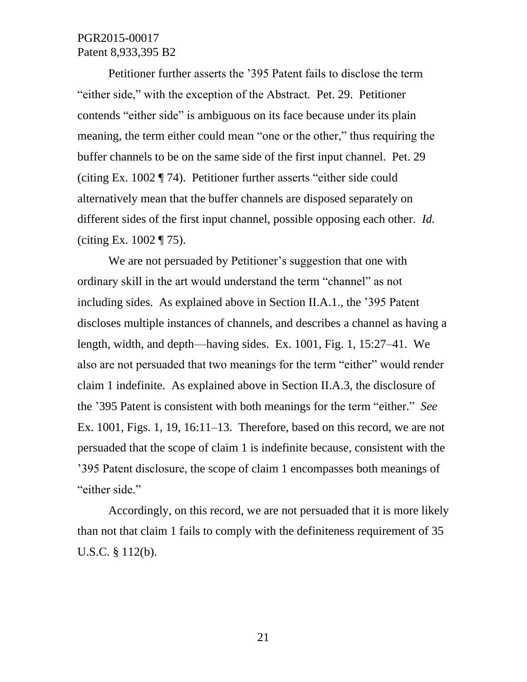Petitioner further asserts the '395 Patent fails to disclose the term "either side," with the exception of the Abstract. Pet. 29. Petitioner contends "either side" is ambiguous on its face because under its plain meaning, the term either could mean "one or the other," thus requiring the buffer channels to be on the same side of the first input channel. Pet. 29 (citing Ex. 1002 ¶ 74). Petitioner further asserts "either side could alternatively mean that the buffer channels are disposed separately on different sides of the first input channel, possible opposing each other. *Id.* (citing Ex. 1002 ¶ 75).

We are not persuaded by Petitioner's suggestion that one with ordinary skill in the art would understand the term "channel" as not including sides. As explained above in Section II.A.1., the '395 Patent discloses multiple instances of channels, and describes a channel as having a length, width, and depth––having sides. Ex. 1001, Fig. 1, 15:27–41. We also are not persuaded that two meanings for the term "either" would render claim 1 indefinite. As explained above in Section II.A.3, the disclosure of the '395 Patent is consistent with both meanings for the term "either." *See* Ex. 1001, Figs. 1, 19, 16:11–13. Therefore, based on this record, we are not persuaded that the scope of claim 1 is indefinite because, consistent with the '395 Patent disclosure, the scope of claim 1 encompasses both meanings of "either side."

Accordingly, on this record, we are not persuaded that it is more likely than not that claim 1 fails to comply with the definiteness requirement of 35 U.S.C. § 112(b).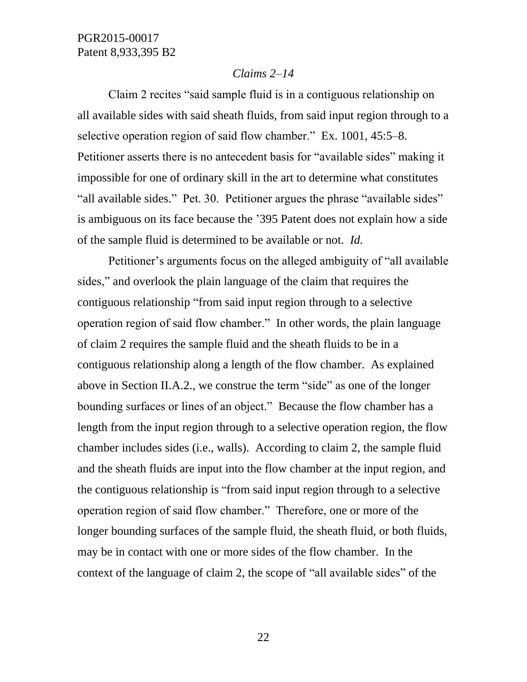#### *Claims 2–14*

Claim 2 recites "said sample fluid is in a contiguous relationship on all available sides with said sheath fluids, from said input region through to a selective operation region of said flow chamber." Ex. 1001, 45:5–8. Petitioner asserts there is no antecedent basis for "available sides" making it impossible for one of ordinary skill in the art to determine what constitutes "all available sides." Pet. 30. Petitioner argues the phrase "available sides" is ambiguous on its face because the '395 Patent does not explain how a side of the sample fluid is determined to be available or not. *Id.*

Petitioner's arguments focus on the alleged ambiguity of "all available sides," and overlook the plain language of the claim that requires the contiguous relationship "from said input region through to a selective operation region of said flow chamber." In other words, the plain language of claim 2 requires the sample fluid and the sheath fluids to be in a contiguous relationship along a length of the flow chamber. As explained above in Section II.A.2., we construe the term "side" as one of the longer bounding surfaces or lines of an object." Because the flow chamber has a length from the input region through to a selective operation region, the flow chamber includes sides (i.e., walls). According to claim 2, the sample fluid and the sheath fluids are input into the flow chamber at the input region, and the contiguous relationship is "from said input region through to a selective operation region of said flow chamber." Therefore, one or more of the longer bounding surfaces of the sample fluid, the sheath fluid, or both fluids, may be in contact with one or more sides of the flow chamber. In the context of the language of claim 2, the scope of "all available sides" of the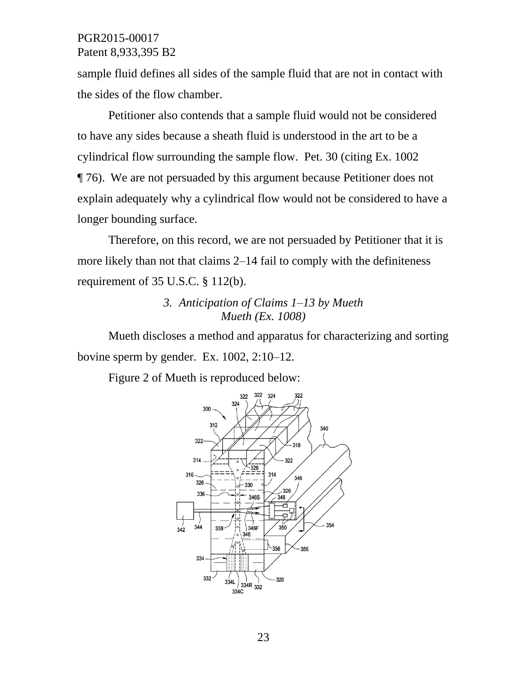sample fluid defines all sides of the sample fluid that are not in contact with the sides of the flow chamber.

Petitioner also contends that a sample fluid would not be considered to have any sides because a sheath fluid is understood in the art to be a cylindrical flow surrounding the sample flow. Pet. 30 (citing Ex. 1002 ¶ 76). We are not persuaded by this argument because Petitioner does not explain adequately why a cylindrical flow would not be considered to have a longer bounding surface.

Therefore, on this record, we are not persuaded by Petitioner that it is more likely than not that claims 2–14 fail to comply with the definiteness requirement of 35 U.S.C. § 112(b).

# *3. Anticipation of Claims 1–13 by Mueth Mueth (Ex. 1008)*

Mueth discloses a method and apparatus for characterizing and sorting bovine sperm by gender. Ex. 1002, 2:10–12.

Figure 2 of Mueth is reproduced below:

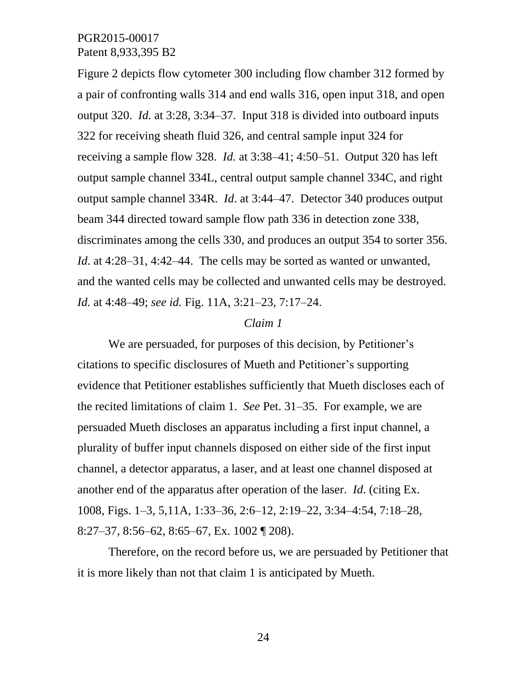Figure 2 depicts flow cytometer 300 including flow chamber 312 formed by a pair of confronting walls 314 and end walls 316, open input 318, and open output 320. *Id.* at 3:28, 3:34–37. Input 318 is divided into outboard inputs 322 for receiving sheath fluid 326, and central sample input 324 for receiving a sample flow 328. *Id.* at 3:38–41; 4:50–51. Output 320 has left output sample channel 334L, central output sample channel 334C, and right output sample channel 334R. *Id*. at 3:44–47. Detector 340 produces output beam 344 directed toward sample flow path 336 in detection zone 338, discriminates among the cells 330, and produces an output 354 to sorter 356. *Id.* at 4:28–31, 4:42–44. The cells may be sorted as wanted or unwanted, and the wanted cells may be collected and unwanted cells may be destroyed. *Id.* at 4:48–49; *see id.* Fig. 11A, 3:21–23, 7:17–24.

#### *Claim 1*

We are persuaded, for purposes of this decision, by Petitioner's citations to specific disclosures of Mueth and Petitioner's supporting evidence that Petitioner establishes sufficiently that Mueth discloses each of the recited limitations of claim 1. *See* Pet. 31–35. For example, we are persuaded Mueth discloses an apparatus including a first input channel, a plurality of buffer input channels disposed on either side of the first input channel, a detector apparatus, a laser, and at least one channel disposed at another end of the apparatus after operation of the laser. *Id*. (citing Ex. 1008, Figs. 1–3, 5,11A, 1:33–36, 2:6–12, 2:19–22, 3:34–4:54, 7:18–28, 8:27–37, 8:56–62, 8:65–67, Ex. 1002 ¶ 208).

Therefore, on the record before us, we are persuaded by Petitioner that it is more likely than not that claim 1 is anticipated by Mueth.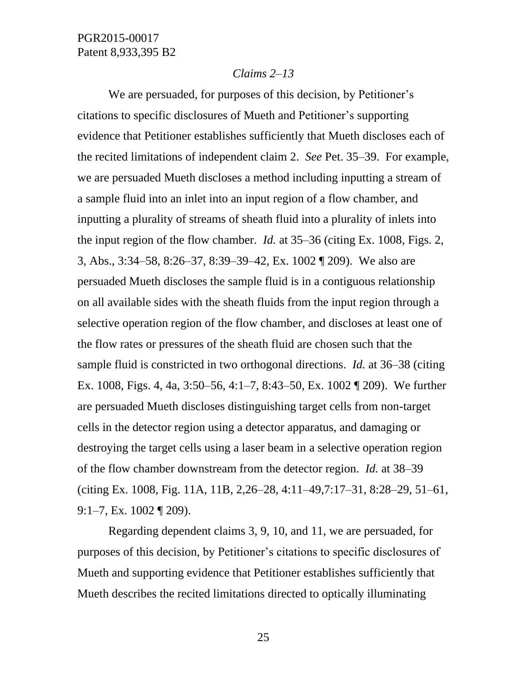### *Claims 2–13*

We are persuaded, for purposes of this decision, by Petitioner's citations to specific disclosures of Mueth and Petitioner's supporting evidence that Petitioner establishes sufficiently that Mueth discloses each of the recited limitations of independent claim 2. *See* Pet. 35–39. For example, we are persuaded Mueth discloses a method including inputting a stream of a sample fluid into an inlet into an input region of a flow chamber, and inputting a plurality of streams of sheath fluid into a plurality of inlets into the input region of the flow chamber. *Id.* at 35–36 (citing Ex. 1008, Figs. 2, 3, Abs., 3:34–58, 8:26–37, 8:39–39–42, Ex. 1002 ¶ 209). We also are persuaded Mueth discloses the sample fluid is in a contiguous relationship on all available sides with the sheath fluids from the input region through a selective operation region of the flow chamber, and discloses at least one of the flow rates or pressures of the sheath fluid are chosen such that the sample fluid is constricted in two orthogonal directions. *Id.* at 36–38 (citing Ex. 1008, Figs. 4, 4a, 3:50–56, 4:1–7, 8:43–50, Ex. 1002 ¶ 209). We further are persuaded Mueth discloses distinguishing target cells from non-target cells in the detector region using a detector apparatus, and damaging or destroying the target cells using a laser beam in a selective operation region of the flow chamber downstream from the detector region. *Id.* at 38–39 (citing Ex. 1008, Fig. 11A, 11B, 2,26–28, 4:11–49,7:17–31, 8:28–29, 51–61, 9:1–7, Ex. 1002 ¶ 209).

Regarding dependent claims 3, 9, 10, and 11, we are persuaded, for purposes of this decision, by Petitioner's citations to specific disclosures of Mueth and supporting evidence that Petitioner establishes sufficiently that Mueth describes the recited limitations directed to optically illuminating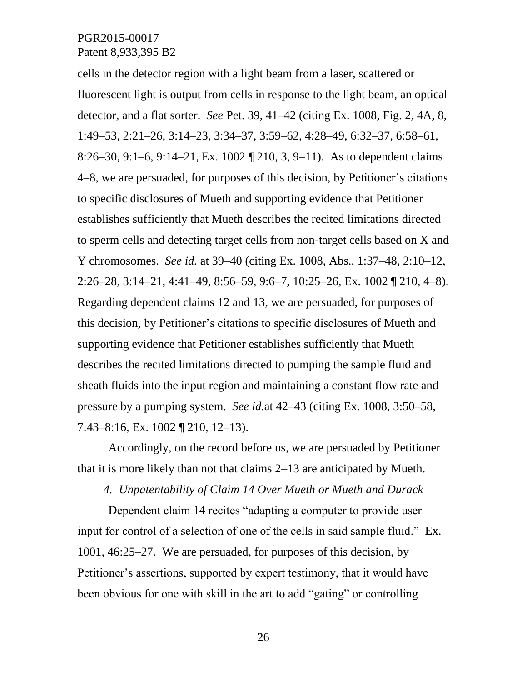cells in the detector region with a light beam from a laser, scattered or fluorescent light is output from cells in response to the light beam, an optical detector, and a flat sorter. *See* Pet. 39, 41–42 (citing Ex. 1008, Fig. 2, 4A, 8, 1:49–53, 2:21–26, 3:14–23, 3:34–37, 3:59–62, 4:28–49, 6:32–37, 6:58–61, 8:26–30, 9:1–6, 9:14–21, Ex. 1002 ¶ 210, 3, 9–11). As to dependent claims 4–8, we are persuaded, for purposes of this decision, by Petitioner's citations to specific disclosures of Mueth and supporting evidence that Petitioner establishes sufficiently that Mueth describes the recited limitations directed to sperm cells and detecting target cells from non-target cells based on X and Y chromosomes. *See id.* at 39–40 (citing Ex. 1008, Abs., 1:37–48, 2:10–12, 2:26–28, 3:14–21, 4:41–49, 8:56–59, 9:6–7, 10:25–26, Ex. 1002 ¶ 210, 4–8). Regarding dependent claims 12 and 13, we are persuaded, for purposes of this decision, by Petitioner's citations to specific disclosures of Mueth and supporting evidence that Petitioner establishes sufficiently that Mueth describes the recited limitations directed to pumping the sample fluid and sheath fluids into the input region and maintaining a constant flow rate and pressure by a pumping system. *See id.*at 42–43 (citing Ex. 1008, 3:50–58, 7:43–8:16, Ex. 1002 ¶ 210, 12–13).

Accordingly, on the record before us, we are persuaded by Petitioner that it is more likely than not that claims 2–13 are anticipated by Mueth.

*4. Unpatentability of Claim 14 Over Mueth or Mueth and Durack*

Dependent claim 14 recites "adapting a computer to provide user input for control of a selection of one of the cells in said sample fluid." Ex. 1001, 46:25–27. We are persuaded, for purposes of this decision, by Petitioner's assertions, supported by expert testimony, that it would have been obvious for one with skill in the art to add "gating" or controlling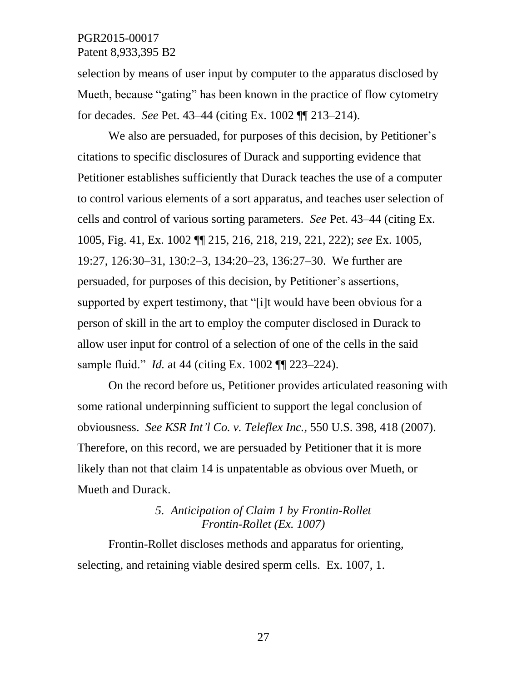selection by means of user input by computer to the apparatus disclosed by Mueth, because "gating" has been known in the practice of flow cytometry for decades. *See* Pet. 43–44 (citing Ex. 1002 ¶¶ 213–214).

We also are persuaded, for purposes of this decision, by Petitioner's citations to specific disclosures of Durack and supporting evidence that Petitioner establishes sufficiently that Durack teaches the use of a computer to control various elements of a sort apparatus, and teaches user selection of cells and control of various sorting parameters. *See* Pet. 43–44 (citing Ex. 1005, Fig. 41, Ex. 1002 ¶¶ 215, 216, 218, 219, 221, 222); *see* Ex. 1005, 19:27, 126:30–31, 130:2–3, 134:20–23, 136:27–30. We further are persuaded, for purposes of this decision, by Petitioner's assertions, supported by expert testimony, that "[i]t would have been obvious for a person of skill in the art to employ the computer disclosed in Durack to allow user input for control of a selection of one of the cells in the said sample fluid." *Id.* at 44 (citing Ex. 1002 ¶¶ 223–224).

On the record before us, Petitioner provides articulated reasoning with some rational underpinning sufficient to support the legal conclusion of obviousness. *See KSR Int'l Co. v. Teleflex Inc.*, 550 U.S. 398, 418 (2007). Therefore, on this record, we are persuaded by Petitioner that it is more likely than not that claim 14 is unpatentable as obvious over Mueth, or Mueth and Durack.

# *5. Anticipation of Claim 1 by Frontin-Rollet Frontin-Rollet (Ex. 1007)*

Frontin-Rollet discloses methods and apparatus for orienting, selecting, and retaining viable desired sperm cells. Ex. 1007, 1.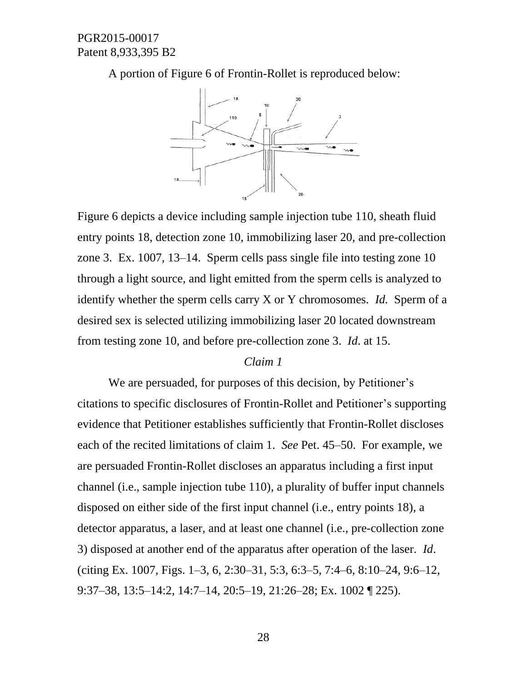A portion of Figure 6 of Frontin-Rollet is reproduced below:



Figure 6 depicts a device including sample injection tube 110, sheath fluid entry points 18, detection zone 10, immobilizing laser 20, and pre-collection zone 3. Ex. 1007, 13–14. Sperm cells pass single file into testing zone 10 through a light source, and light emitted from the sperm cells is analyzed to identify whether the sperm cells carry X or Y chromosomes. *Id.* Sperm of a desired sex is selected utilizing immobilizing laser 20 located downstream from testing zone 10, and before pre-collection zone 3. *Id*. at 15.

### *Claim 1*

We are persuaded, for purposes of this decision, by Petitioner's citations to specific disclosures of Frontin-Rollet and Petitioner's supporting evidence that Petitioner establishes sufficiently that Frontin-Rollet discloses each of the recited limitations of claim 1. *See* Pet. 45–50. For example, we are persuaded Frontin-Rollet discloses an apparatus including a first input channel (i.e., sample injection tube 110), a plurality of buffer input channels disposed on either side of the first input channel (i.e., entry points 18), a detector apparatus, a laser, and at least one channel (i.e., pre-collection zone 3) disposed at another end of the apparatus after operation of the laser. *Id*. (citing Ex. 1007, Figs. 1–3, 6, 2:30–31, 5:3, 6:3–5, 7:4–6, 8:10–24, 9:6–12, 9:37–38, 13:5–14:2, 14:7–14, 20:5–19, 21:26–28; Ex. 1002 ¶ 225).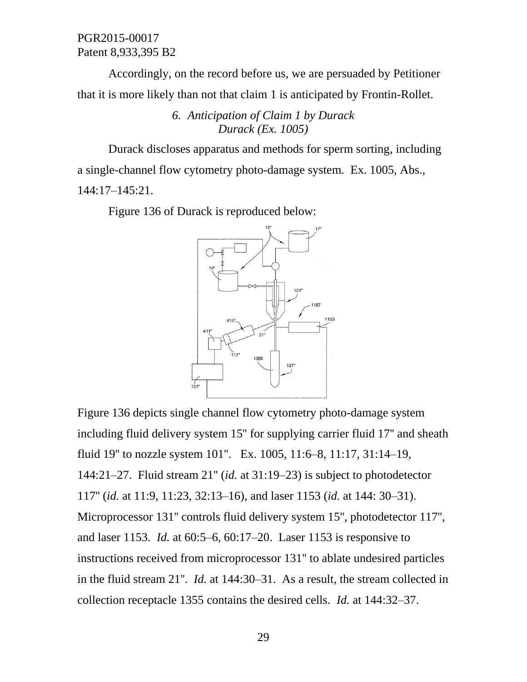Accordingly, on the record before us, we are persuaded by Petitioner that it is more likely than not that claim 1 is anticipated by Frontin-Rollet.

> *6. Anticipation of Claim 1 by Durack Durack (Ex. 1005)*

Durack discloses apparatus and methods for sperm sorting, including a single-channel flow cytometry photo-damage system. Ex. 1005, Abs., 144:17–145:21.

Figure 136 of Durack is reproduced below:



Figure 136 depicts single channel flow cytometry photo-damage system including fluid delivery system 15'' for supplying carrier fluid 17'' and sheath fluid 19'' to nozzle system 101''. Ex. 1005, 11:6–8, 11:17, 31:14–19, 144:21–27. Fluid stream 21'' (*id.* at 31:19–23) is subject to photodetector 117'' (*id.* at 11:9, 11:23, 32:13–16), and laser 1153 (*id.* at 144: 30–31). Microprocessor 131'' controls fluid delivery system 15'', photodetector 117'', and laser 1153. *Id.* at 60:5–6, 60:17–20. Laser 1153 is responsive to instructions received from microprocessor 131'' to ablate undesired particles in the fluid stream 21''. *Id.* at 144:30–31. As a result, the stream collected in collection receptacle 1355 contains the desired cells. *Id.* at 144:32–37.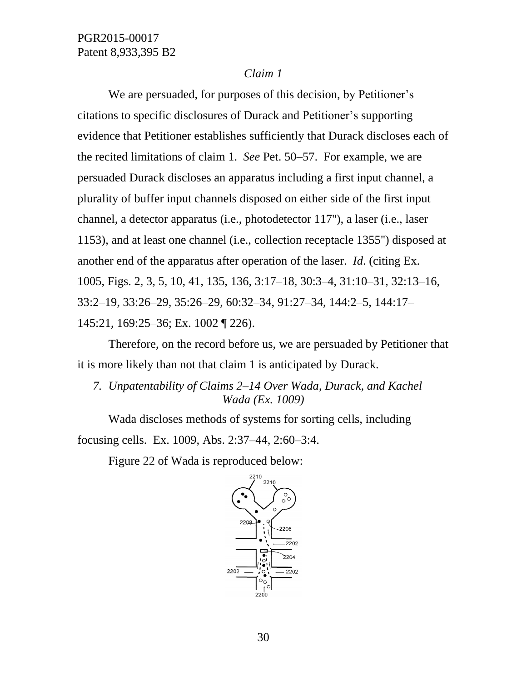### *Claim 1*

We are persuaded, for purposes of this decision, by Petitioner's citations to specific disclosures of Durack and Petitioner's supporting evidence that Petitioner establishes sufficiently that Durack discloses each of the recited limitations of claim 1. *See* Pet. 50–57. For example, we are persuaded Durack discloses an apparatus including a first input channel, a plurality of buffer input channels disposed on either side of the first input channel, a detector apparatus (i.e., photodetector 117''), a laser (i.e., laser 1153), and at least one channel (i.e., collection receptacle 1355'') disposed at another end of the apparatus after operation of the laser. *Id*. (citing Ex. 1005, Figs. 2, 3, 5, 10, 41, 135, 136, 3:17–18, 30:3–4, 31:10–31, 32:13–16, 33:2–19, 33:26–29, 35:26–29, 60:32–34, 91:27–34, 144:2–5, 144:17– 145:21, 169:25–36; Ex. 1002 ¶ 226).

Therefore, on the record before us, we are persuaded by Petitioner that it is more likely than not that claim 1 is anticipated by Durack.

*7. Unpatentability of Claims 2–14 Over Wada, Durack, and Kachel Wada (Ex. 1009)*

Wada discloses methods of systems for sorting cells, including focusing cells. Ex. 1009, Abs. 2:37–44, 2:60–3:4.

Figure 22 of Wada is reproduced below:

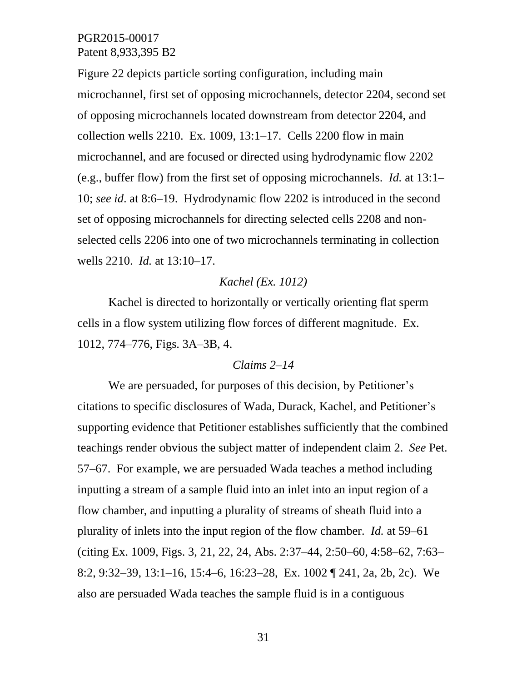Figure 22 depicts particle sorting configuration, including main microchannel, first set of opposing microchannels, detector 2204, second set of opposing microchannels located downstream from detector 2204, and collection wells 2210. Ex. 1009, 13:1–17. Cells 2200 flow in main microchannel, and are focused or directed using hydrodynamic flow 2202 (e.g., buffer flow) from the first set of opposing microchannels. *Id.* at 13:1– 10; *see id*. at 8:6–19. Hydrodynamic flow 2202 is introduced in the second set of opposing microchannels for directing selected cells 2208 and nonselected cells 2206 into one of two microchannels terminating in collection wells 2210. *Id.* at 13:10–17.

### *Kachel (Ex. 1012)*

Kachel is directed to horizontally or vertically orienting flat sperm cells in a flow system utilizing flow forces of different magnitude. Ex. 1012, 774–776, Figs. 3A–3B, 4.

### *Claims 2–14*

We are persuaded, for purposes of this decision, by Petitioner's citations to specific disclosures of Wada, Durack, Kachel, and Petitioner's supporting evidence that Petitioner establishes sufficiently that the combined teachings render obvious the subject matter of independent claim 2. *See* Pet. 57–67. For example, we are persuaded Wada teaches a method including inputting a stream of a sample fluid into an inlet into an input region of a flow chamber, and inputting a plurality of streams of sheath fluid into a plurality of inlets into the input region of the flow chamber. *Id.* at 59–61 (citing Ex. 1009, Figs. 3, 21, 22, 24, Abs. 2:37–44, 2:50–60, 4:58–62, 7:63– 8:2, 9:32–39, 13:1–16, 15:4–6, 16:23–28, Ex. 1002 ¶ 241, 2a, 2b, 2c). We also are persuaded Wada teaches the sample fluid is in a contiguous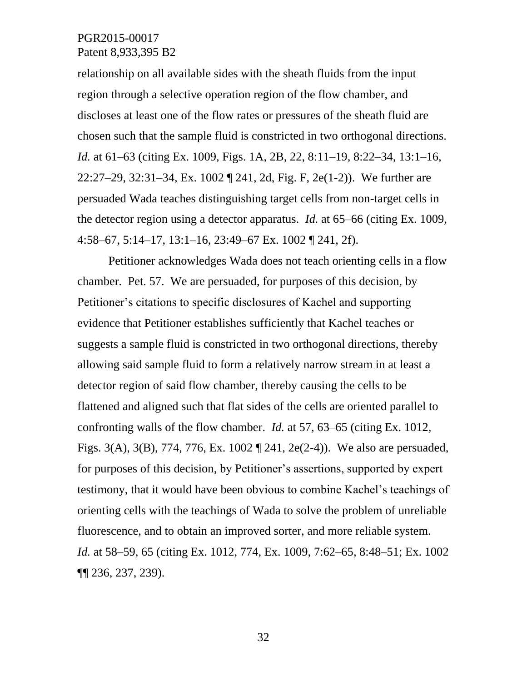relationship on all available sides with the sheath fluids from the input region through a selective operation region of the flow chamber, and discloses at least one of the flow rates or pressures of the sheath fluid are chosen such that the sample fluid is constricted in two orthogonal directions. *Id.* at 61–63 (citing Ex. 1009, Figs. 1A, 2B, 22, 8:11–19, 8:22–34, 13:1–16, 22:27–29, 32:31–34, Ex. 1002 ¶ 241, 2d, Fig. F, 2e(1-2)). We further are persuaded Wada teaches distinguishing target cells from non-target cells in the detector region using a detector apparatus. *Id.* at 65–66 (citing Ex. 1009, 4:58–67, 5:14–17, 13:1–16, 23:49–67 Ex. 1002 ¶ 241, 2f).

Petitioner acknowledges Wada does not teach orienting cells in a flow chamber. Pet. 57. We are persuaded, for purposes of this decision, by Petitioner's citations to specific disclosures of Kachel and supporting evidence that Petitioner establishes sufficiently that Kachel teaches or suggests a sample fluid is constricted in two orthogonal directions, thereby allowing said sample fluid to form a relatively narrow stream in at least a detector region of said flow chamber, thereby causing the cells to be flattened and aligned such that flat sides of the cells are oriented parallel to confronting walls of the flow chamber. *Id.* at 57, 63–65 (citing Ex. 1012, Figs. 3(A), 3(B), 774, 776, Ex. 1002 ¶ 241, 2e(2-4)). We also are persuaded, for purposes of this decision, by Petitioner's assertions, supported by expert testimony, that it would have been obvious to combine Kachel's teachings of orienting cells with the teachings of Wada to solve the problem of unreliable fluorescence, and to obtain an improved sorter, and more reliable system. *Id.* at 58–59, 65 (citing Ex. 1012, 774, Ex. 1009, 7:62–65, 8:48–51; Ex. 1002 ¶¶ 236, 237, 239).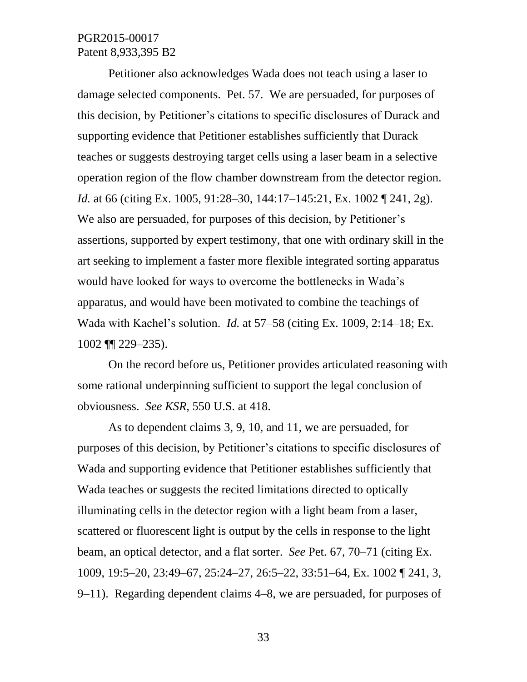Petitioner also acknowledges Wada does not teach using a laser to damage selected components. Pet. 57. We are persuaded, for purposes of this decision, by Petitioner's citations to specific disclosures of Durack and supporting evidence that Petitioner establishes sufficiently that Durack teaches or suggests destroying target cells using a laser beam in a selective operation region of the flow chamber downstream from the detector region. *Id.* at 66 (citing Ex. 1005, 91:28–30, 144:17–145:21, Ex. 1002 ¶ 241, 2g). We also are persuaded, for purposes of this decision, by Petitioner's assertions, supported by expert testimony, that one with ordinary skill in the art seeking to implement a faster more flexible integrated sorting apparatus would have looked for ways to overcome the bottlenecks in Wada's apparatus, and would have been motivated to combine the teachings of Wada with Kachel's solution. *Id.* at 57–58 (citing Ex. 1009, 2:14–18; Ex. 1002 ¶¶ 229–235).

On the record before us, Petitioner provides articulated reasoning with some rational underpinning sufficient to support the legal conclusion of obviousness. *See KSR*, 550 U.S. at 418.

As to dependent claims 3, 9, 10, and 11, we are persuaded, for purposes of this decision, by Petitioner's citations to specific disclosures of Wada and supporting evidence that Petitioner establishes sufficiently that Wada teaches or suggests the recited limitations directed to optically illuminating cells in the detector region with a light beam from a laser, scattered or fluorescent light is output by the cells in response to the light beam, an optical detector, and a flat sorter. *See* Pet. 67, 70–71 (citing Ex. 1009, 19:5–20, 23:49–67, 25:24–27, 26:5–22, 33:51–64, Ex. 1002 ¶ 241, 3, 9–11). Regarding dependent claims 4–8, we are persuaded, for purposes of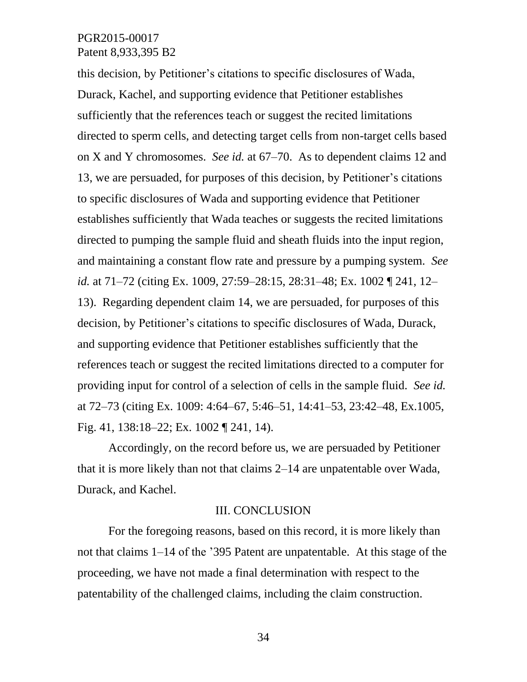this decision, by Petitioner's citations to specific disclosures of Wada, Durack, Kachel, and supporting evidence that Petitioner establishes sufficiently that the references teach or suggest the recited limitations directed to sperm cells, and detecting target cells from non-target cells based on X and Y chromosomes. *See id.* at 67–70. As to dependent claims 12 and 13, we are persuaded, for purposes of this decision, by Petitioner's citations to specific disclosures of Wada and supporting evidence that Petitioner establishes sufficiently that Wada teaches or suggests the recited limitations directed to pumping the sample fluid and sheath fluids into the input region, and maintaining a constant flow rate and pressure by a pumping system. *See id.* at 71–72 (citing Ex. 1009, 27:59–28:15, 28:31–48; Ex. 1002 ¶ 241, 12– 13). Regarding dependent claim 14, we are persuaded, for purposes of this decision, by Petitioner's citations to specific disclosures of Wada, Durack, and supporting evidence that Petitioner establishes sufficiently that the references teach or suggest the recited limitations directed to a computer for providing input for control of a selection of cells in the sample fluid. *See id.* at 72–73 (citing Ex. 1009: 4:64–67, 5:46–51, 14:41–53, 23:42–48, Ex.1005, Fig. 41, 138:18–22; Ex. 1002 ¶ 241, 14).

Accordingly, on the record before us, we are persuaded by Petitioner that it is more likely than not that claims 2–14 are unpatentable over Wada, Durack, and Kachel.

### III. CONCLUSION

For the foregoing reasons, based on this record, it is more likely than not that claims 1–14 of the '395 Patent are unpatentable. At this stage of the proceeding, we have not made a final determination with respect to the patentability of the challenged claims, including the claim construction.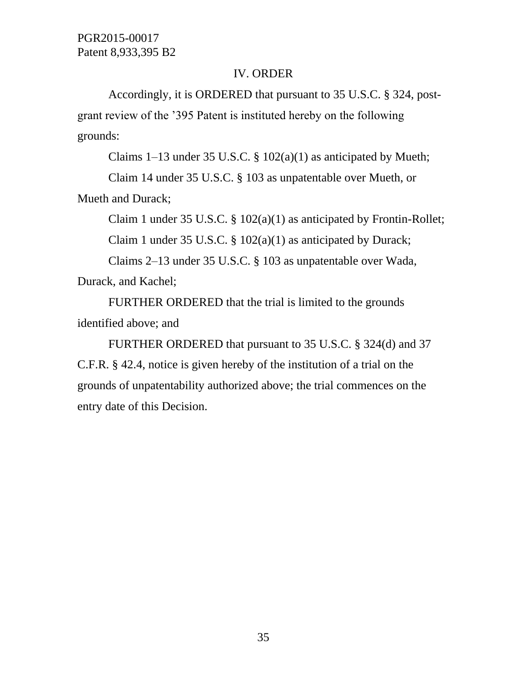# IV. ORDER

Accordingly, it is ORDERED that pursuant to 35 U.S.C. § 324, postgrant review of the '395 Patent is instituted hereby on the following grounds:

Claims  $1-13$  under 35 U.S.C. §  $102(a)(1)$  as anticipated by Mueth;

Claim 14 under 35 U.S.C. § 103 as unpatentable over Mueth, or Mueth and Durack;

Claim 1 under 35 U.S.C. § 102(a)(1) as anticipated by Frontin-Rollet;

Claim 1 under 35 U.S.C. § 102(a)(1) as anticipated by Durack;

Claims 2–13 under 35 U.S.C. § 103 as unpatentable over Wada, Durack, and Kachel;

FURTHER ORDERED that the trial is limited to the grounds identified above; and

FURTHER ORDERED that pursuant to 35 U.S.C. § 324(d) and 37 C.F.R. § 42.4, notice is given hereby of the institution of a trial on the grounds of unpatentability authorized above; the trial commences on the entry date of this Decision.